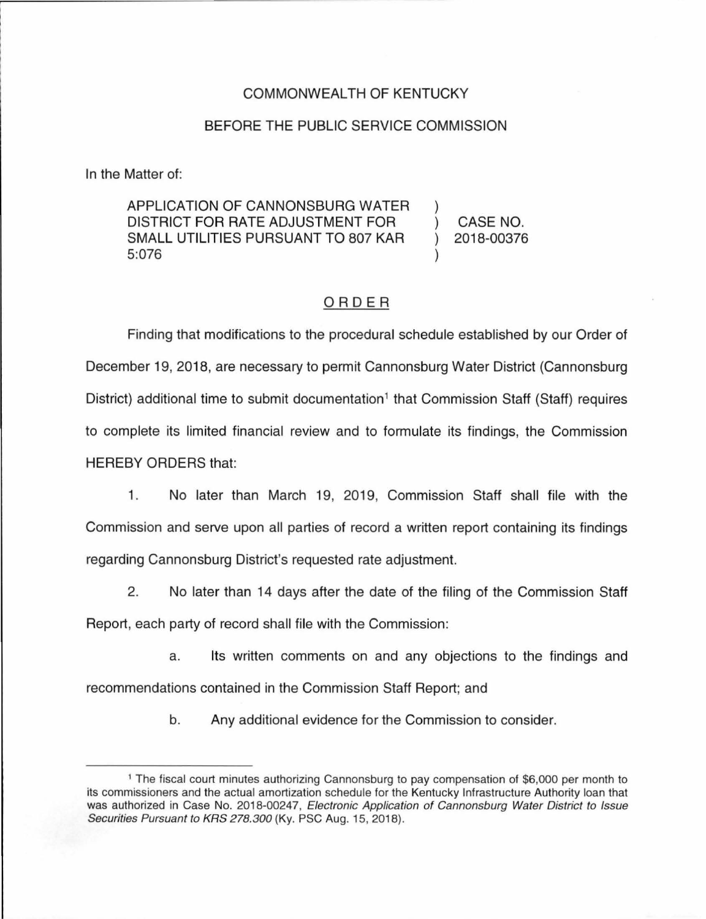## COMMONWEALTH OF KENTUCKY

## BEFORE THE PUBLIC SERVICE COMMISSION

In the Matter of:

APPLICATION OF CANNONSBURG WATER DISTRICT FOR RATE ADJUSTMENT FOR SMALL UTILITIES PURSUANT TO 807 KAR 5:076

CASE NO. 2018-00376

## ORDER

Finding that modifications to the procedural schedule established by our Order of December 19, 2018, are necessary to permit Cannonsburg Water District (Cannonsburg District) additional time to submit documentation<sup>1</sup> that Commission Staff (Staff) requires to complete its limited financial review and to formulate its findings, the Commission HEREBY ORDERS that:

1. No later than March 19, 2019, Commission Staff shall file with the Commission and serve upon all parties of record a written report containing its findings regarding Cannonsburg District's requested rate adjustment.

2. No later than 14 days after the date of the filing of the Commission Staff Report, each party of record shall file with the Commission:

a. Its written comments on and any objections to the findings and recommendations contained in the Commission Staff Report; and

b. Any additional evidence for the Commission to consider.

<sup>1</sup>The fiscal court minutes authorizing Cannonsburg to pay compensation of \$6,000 per month to its commissioners and the actual amortization schedule for the Kentucky Infrastructure Authority loan that was authorized in Case No. 2018-00247, Electronic Application of Cannonsburg Water District to Issue Securities Pursuant to KRS 278.300 (Ky. PSC Aug. 15, 2018).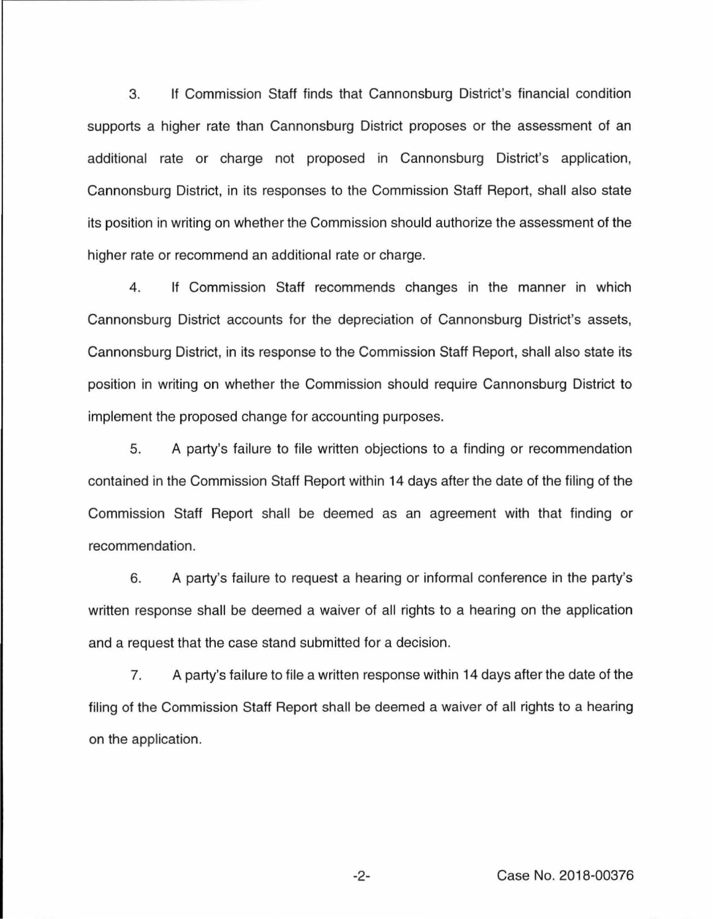3. If Commission Staff finds that Cannonsburg District's financial condition supports a higher rate than Cannonsburg District proposes or the assessment of an additional rate or charge not proposed in Cannonsburg District's application, Cannonsburg District, in its responses to the Commission Staff Report, shall also state its position in writing on whether the Commission should authorize the assessment of the higher rate or recommend an additional rate or charge.

4. If Commission Staff recommends changes in the manner in which Cannonsburg District accounts for the depreciation of Cannonsburg District's assets, Cannonsburg District, in its response to the Commission Staff Report, shall also state its position in writing on whether the Commission should require Cannonsburg District to implement the proposed change for accounting purposes.

5. A party's failure to file written objections to a finding or recommendation contained in the Commission Staff Report within 14 days after the date of the filing of the Commission Staff Report shall be deemed as an agreement with that finding or recommendation.

6. A party's failure to request a hearing or informal conference in the party's written response shall be deemed a waiver of all rights to a hearing on the application and a request that the case stand submitted for a decision.

7. A party's failure to file a written response within 14 days after the date of the filing of the Commission Staff Report shall be deemed a waiver of all rights to a hearing on the application.

-2- Case No. 2018-00376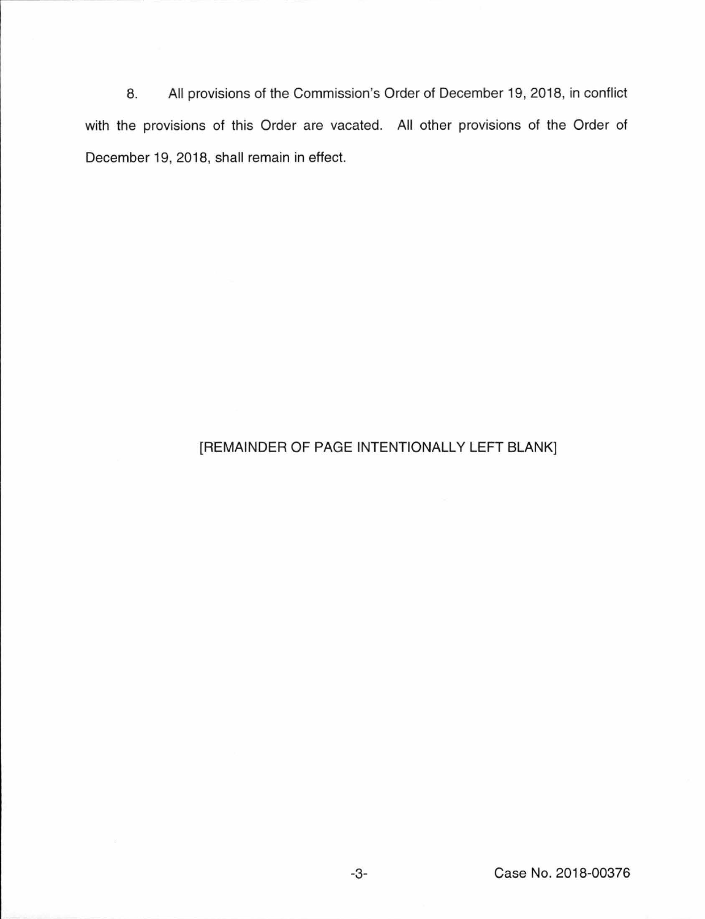8. All provisions of the Commission's Order of December 19, 2018, in conflict with the provisions of this Order are vacated. All other provisions of the Order of December 19, 2018, shall remain in effect.

## [REMAINDER OF PAGE INTENTIONALLY LEFT BLANK]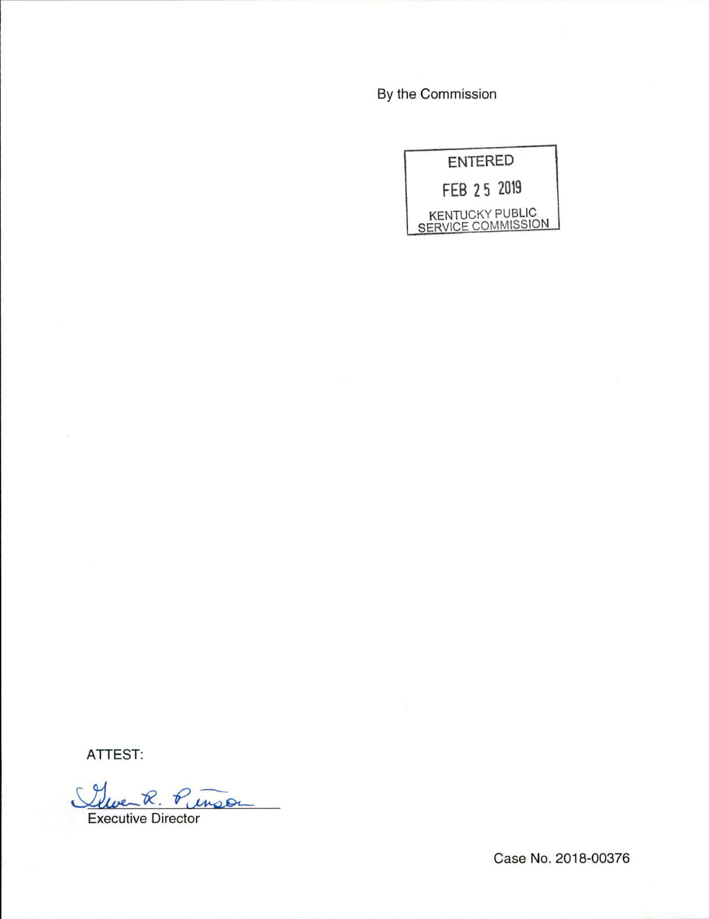By the Commission

|             | <b>ENTERED</b> |                                                     |
|-------------|----------------|-----------------------------------------------------|
| FEB 25 2019 |                |                                                     |
|             |                | <b>KENTUCKY PUBLIC</b><br><b>SERVICE COMMISSION</b> |

ATTEST:

Cleve R. Pinson

Executive Director

Case No. 2018-00376